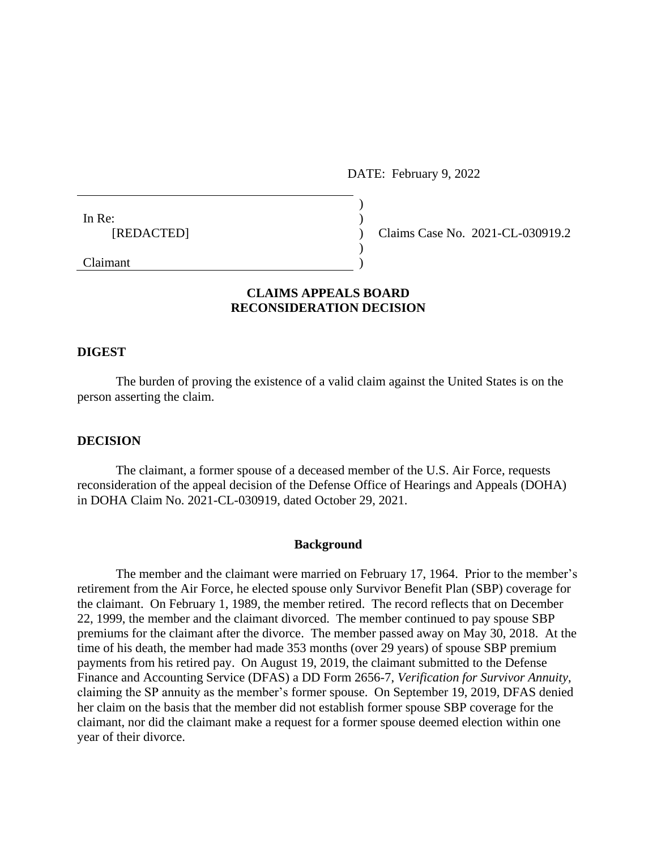DATE: February 9, 2022

| In Re:     |                |
|------------|----------------|
| [REDACTED] |                |
|            |                |
| ____       | <b>Section</b> |

Claims Case No. 2021-CL-030919.2

## Claimant )

# **CLAIMS APPEALS BOARD RECONSIDERATION DECISION**

#### **DIGEST**

The burden of proving the existence of a valid claim against the United States is on the person asserting the claim.

### **DECISION**

The claimant, a former spouse of a deceased member of the U.S. Air Force, requests reconsideration of the appeal decision of the Defense Office of Hearings and Appeals (DOHA) in DOHA Claim No. 2021-CL-030919, dated October 29, 2021.

#### **Background**

The member and the claimant were married on February 17, 1964. Prior to the member's retirement from the Air Force, he elected spouse only Survivor Benefit Plan (SBP) coverage for the claimant. On February 1, 1989, the member retired. The record reflects that on December 22, 1999, the member and the claimant divorced. The member continued to pay spouse SBP premiums for the claimant after the divorce. The member passed away on May 30, 2018. At the time of his death, the member had made 353 months (over 29 years) of spouse SBP premium payments from his retired pay. On August 19, 2019, the claimant submitted to the Defense Finance and Accounting Service (DFAS) a DD Form 2656-7, *Verification for Survivor Annuity*, claiming the SP annuity as the member's former spouse. On September 19, 2019, DFAS denied her claim on the basis that the member did not establish former spouse SBP coverage for the claimant, nor did the claimant make a request for a former spouse deemed election within one year of their divorce.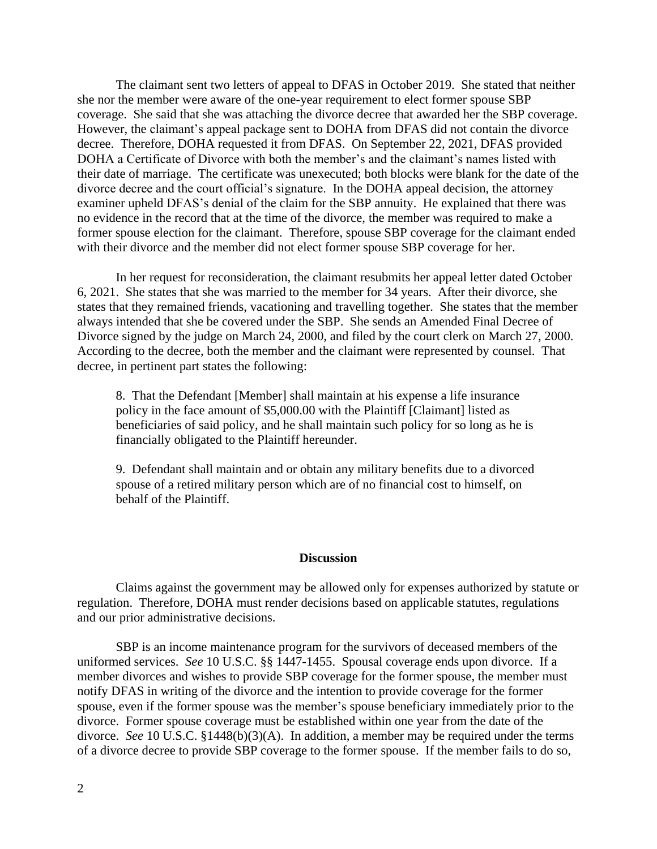The claimant sent two letters of appeal to DFAS in October 2019. She stated that neither she nor the member were aware of the one-year requirement to elect former spouse SBP coverage. She said that she was attaching the divorce decree that awarded her the SBP coverage. However, the claimant's appeal package sent to DOHA from DFAS did not contain the divorce decree. Therefore, DOHA requested it from DFAS. On September 22, 2021, DFAS provided DOHA a Certificate of Divorce with both the member's and the claimant's names listed with their date of marriage. The certificate was unexecuted; both blocks were blank for the date of the divorce decree and the court official's signature. In the DOHA appeal decision, the attorney examiner upheld DFAS's denial of the claim for the SBP annuity. He explained that there was no evidence in the record that at the time of the divorce, the member was required to make a former spouse election for the claimant. Therefore, spouse SBP coverage for the claimant ended with their divorce and the member did not elect former spouse SBP coverage for her.

In her request for reconsideration, the claimant resubmits her appeal letter dated October 6, 2021. She states that she was married to the member for 34 years. After their divorce, she states that they remained friends, vacationing and travelling together. She states that the member always intended that she be covered under the SBP. She sends an Amended Final Decree of Divorce signed by the judge on March 24, 2000, and filed by the court clerk on March 27, 2000. According to the decree, both the member and the claimant were represented by counsel. That decree, in pertinent part states the following:

8. That the Defendant [Member] shall maintain at his expense a life insurance policy in the face amount of \$5,000.00 with the Plaintiff [Claimant] listed as beneficiaries of said policy, and he shall maintain such policy for so long as he is financially obligated to the Plaintiff hereunder.

9. Defendant shall maintain and or obtain any military benefits due to a divorced spouse of a retired military person which are of no financial cost to himself, on behalf of the Plaintiff.

#### **Discussion**

Claims against the government may be allowed only for expenses authorized by statute or regulation. Therefore, DOHA must render decisions based on applicable statutes, regulations and our prior administrative decisions.

SBP is an income maintenance program for the survivors of deceased members of the uniformed services. *See* 10 U.S.C. §§ 1447-1455. Spousal coverage ends upon divorce. If a member divorces and wishes to provide SBP coverage for the former spouse, the member must notify DFAS in writing of the divorce and the intention to provide coverage for the former spouse, even if the former spouse was the member's spouse beneficiary immediately prior to the divorce. Former spouse coverage must be established within one year from the date of the divorce. *See* 10 U.S.C. §1448(b)(3)(A). In addition, a member may be required under the terms of a divorce decree to provide SBP coverage to the former spouse. If the member fails to do so,